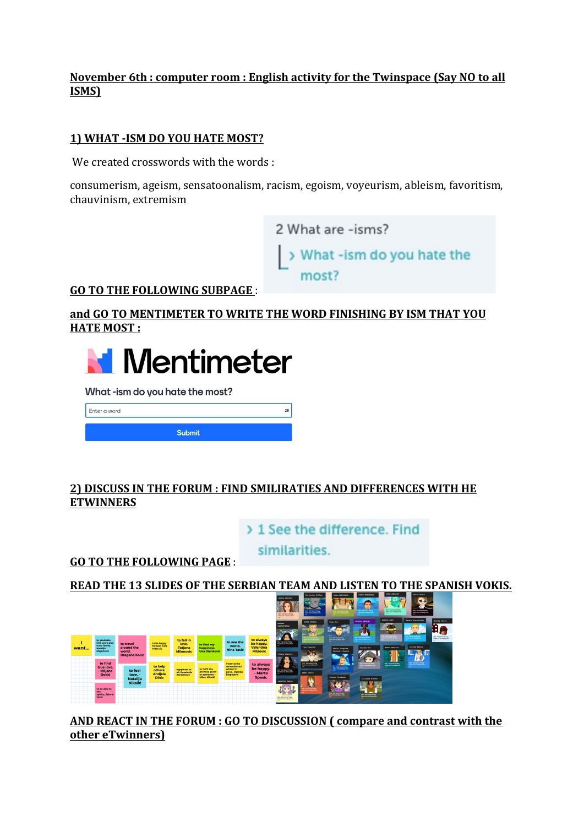### **November 6th : computer room : English activity for the Twinspace (Say NO to all ISMS)**

#### **1) WHAT -ISM DO YOU HATE MOST?**

We created crosswords with the words :

consumerism, ageism, sensatoonalism, racism, egoism, voyeurism, ableism, favoritism, chauvinism, extremism



**GO TO THE FOLLOWING SUBPAGE:** 

## and GO TO MENTIMETER TO WRITE THE WORD FINISHING BY ISM THAT YOU **HATE MOST:**



What-ism do you hate the most?

Enter a word Submit

### **2) DISCUSS IN THE FORUM : FIND SMILIRATIES AND DIFFERENCES WITH HE ETWINNERS**

> 1 See the difference. Find

similarities.

**GO TO THE FOLLOWING PAGE:** 

**READ THE 13 SLIDES OF THE SERBIAN TEAM AND LISTEN TO THE SPANISH VOKIS.** 



AND REACT IN THE FORUM : GO TO DISCUSSION ( compare and contrast with the **other eTwinners)**